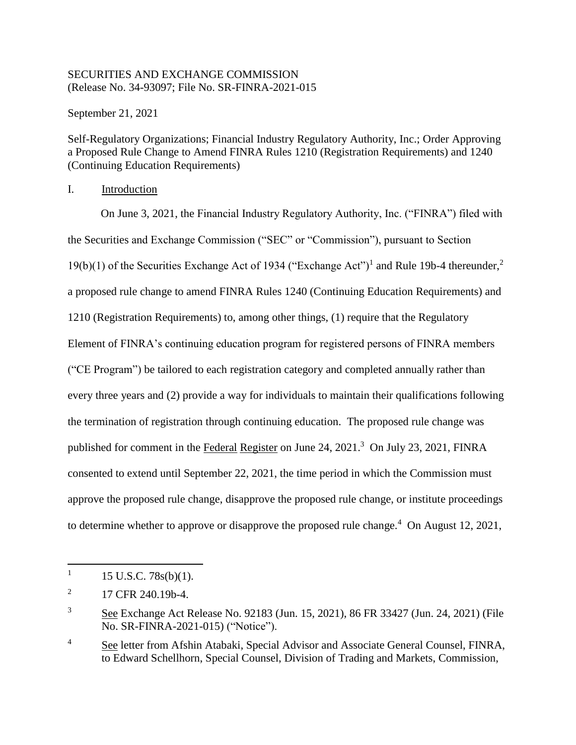## SECURITIES AND EXCHANGE COMMISSION (Release No. 34-93097; File No. SR-FINRA-2021-015

September 21, 2021

Self-Regulatory Organizations; Financial Industry Regulatory Authority, Inc.; Order Approving a Proposed Rule Change to Amend FINRA Rules 1210 (Registration Requirements) and 1240 (Continuing Education Requirements)

I. Introduction

On June 3, 2021, the Financial Industry Regulatory Authority, Inc. ("FINRA") filed with the Securities and Exchange Commission ("SEC" or "Commission"), pursuant to Section 19(b)(1) of the Securities Exchange Act of 1934 ("Exchange Act")<sup>1</sup> and Rule 19b-4 thereunder,<sup>2</sup> a proposed rule change to amend FINRA Rules 1240 (Continuing Education Requirements) and 1210 (Registration Requirements) to, among other things, (1) require that the Regulatory Element of FINRA's continuing education program for registered persons of FINRA members ("CE Program") be tailored to each registration category and completed annually rather than every three years and (2) provide a way for individuals to maintain their qualifications following the termination of registration through continuing education. The proposed rule change was published for comment in the Federal Register on June 24, 2021.<sup>3</sup> On July 23, 2021, FINRA consented to extend until September 22, 2021, the time period in which the Commission must approve the proposed rule change, disapprove the proposed rule change, or institute proceedings to determine whether to approve or disapprove the proposed rule change.<sup>4</sup> On August 12, 2021,

<sup>1</sup> 15 U.S.C. 78s(b)(1).

<sup>2</sup> 17 CFR 240.19b-4.

<sup>&</sup>lt;sup>3</sup> See Exchange Act Release No. 92183 (Jun. 15, 2021), 86 FR 33427 (Jun. 24, 2021) (File No. SR-FINRA-2021-015) ("Notice").

<sup>&</sup>lt;sup>4</sup> See letter from Afshin Atabaki, Special Advisor and Associate General Counsel, FINRA, to Edward Schellhorn, Special Counsel, Division of Trading and Markets, Commission,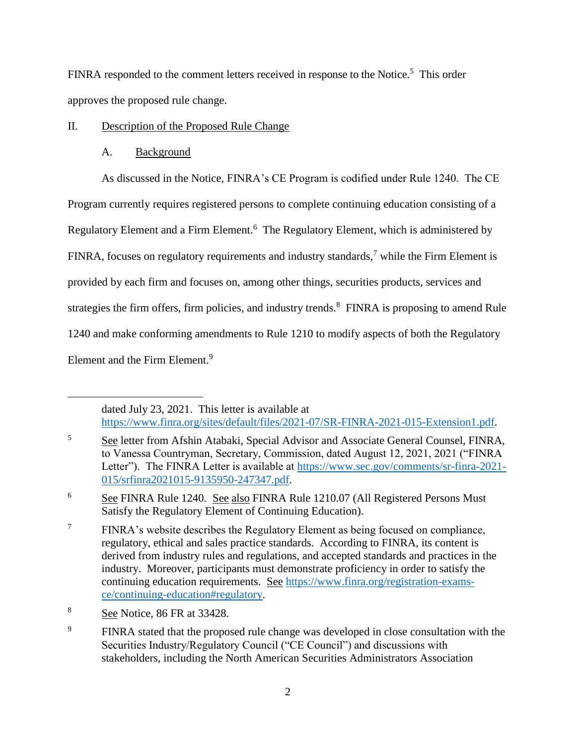FINRA responded to the comment letters received in response to the Notice.<sup>5</sup> This order approves the proposed rule change.

# II. Description of the Proposed Rule Change

# A. Background

As discussed in the Notice, FINRA's CE Program is codified under Rule 1240. The CE

Program currently requires registered persons to complete continuing education consisting of a

Regulatory Element and a Firm Element.<sup>6</sup> The Regulatory Element, which is administered by

FINRA, focuses on regulatory requirements and industry standards,<sup>7</sup> while the Firm Element is

provided by each firm and focuses on, among other things, securities products, services and

strategies the firm offers, firm policies, and industry trends. $8$  FINRA is proposing to amend Rule

1240 and make conforming amendments to Rule 1210 to modify aspects of both the Regulatory

Element and the Firm Element.<sup>9</sup>

 $\overline{a}$ 

dated July 23, 2021. This letter is available at [https://www.finra.org/sites/default/files/2021-07/SR-FINRA-2021-015-Extension1.pdf.](https://www.finra.org/sites/default/files/2021-07/SR-FINRA-2021-015-Extension1.pdf)

<sup>5</sup> See letter from Afshin Atabaki, Special Advisor and Associate General Counsel, FINRA, to Vanessa Countryman, Secretary, Commission, dated August 12, 2021, 2021 ("FINRA Letter"). The FINRA Letter is available at [https://www.sec.gov/comments/sr-finra-2021-](https://www.sec.gov/comments/sr-finra-2021-015/srfinra2021015-9135950-247347.pdf) [015/srfinra2021015-9135950-247347.pdf.](https://www.sec.gov/comments/sr-finra-2021-015/srfinra2021015-9135950-247347.pdf)

<sup>6</sup> See FINRA Rule 1240. See also FINRA Rule 1210.07 (All Registered Persons Must Satisfy the Regulatory Element of Continuing Education).

<sup>&</sup>lt;sup>7</sup> FINRA's website describes the Regulatory Element as being focused on compliance, regulatory, ethical and sales practice standards. According to FINRA, its content is derived from industry rules and regulations, and accepted standards and practices in the industry. Moreover, participants must demonstrate proficiency in order to satisfy the continuing education requirements. See [https://www.finra.org/registration-exams](https://www.finra.org/registration-exams-ce/continuing-education#regulatory)[ce/continuing-education#regulatory.](https://www.finra.org/registration-exams-ce/continuing-education#regulatory)

<sup>&</sup>lt;sup>8</sup> See Notice, 86 FR at 33428.

<sup>&</sup>lt;sup>9</sup> FINRA stated that the proposed rule change was developed in close consultation with the Securities Industry/Regulatory Council ("CE Council") and discussions with stakeholders, including the North American Securities Administrators Association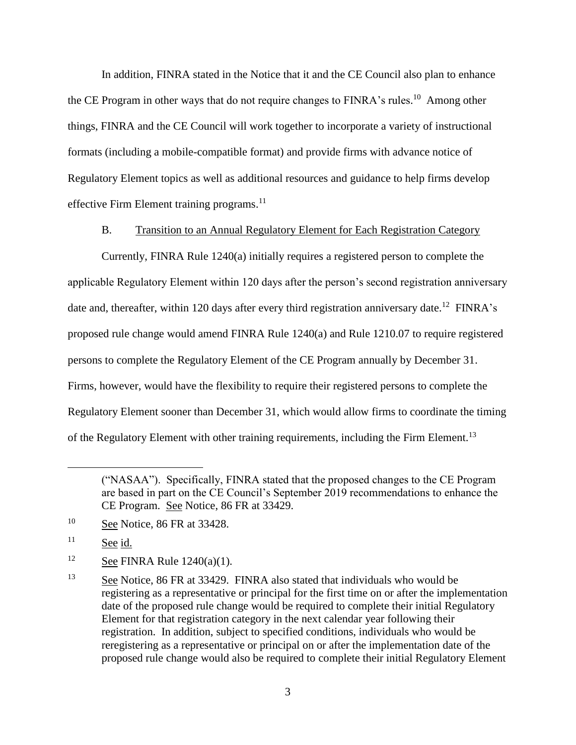In addition, FINRA stated in the Notice that it and the CE Council also plan to enhance the CE Program in other ways that do not require changes to FINRA's rules.<sup>10</sup> Among other things, FINRA and the CE Council will work together to incorporate a variety of instructional formats (including a mobile-compatible format) and provide firms with advance notice of Regulatory Element topics as well as additional resources and guidance to help firms develop effective Firm Element training programs.<sup>11</sup>

B. Transition to an Annual Regulatory Element for Each Registration Category

Currently, FINRA Rule 1240(a) initially requires a registered person to complete the applicable Regulatory Element within 120 days after the person's second registration anniversary date and, thereafter, within 120 days after every third registration anniversary date.<sup>12</sup> FINRA's proposed rule change would amend FINRA Rule 1240(a) and Rule 1210.07 to require registered persons to complete the Regulatory Element of the CE Program annually by December 31. Firms, however, would have the flexibility to require their registered persons to complete the Regulatory Element sooner than December 31, which would allow firms to coordinate the timing of the Regulatory Element with other training requirements, including the Firm Element.<sup>13</sup>

<sup>10</sup> See Notice, 86 FR at 33428.

 $11$  See id.

 $\overline{a}$ 

<sup>12</sup> See FINRA Rule  $1240(a)(1)$ .

<span id="page-2-0"></span><sup>(&</sup>quot;NASAA"). Specifically, FINRA stated that the proposed changes to the CE Program are based in part on the CE Council's September 2019 recommendations to enhance the CE Program. See Notice, 86 FR at 33429.

<sup>&</sup>lt;sup>13</sup> See Notice, 86 FR at 33429. FINRA also stated that individuals who would be registering as a representative or principal for the first time on or after the implementation date of the proposed rule change would be required to complete their initial Regulatory Element for that registration category in the next calendar year following their registration. In addition, subject to specified conditions, individuals who would be reregistering as a representative or principal on or after the implementation date of the proposed rule change would also be required to complete their initial Regulatory Element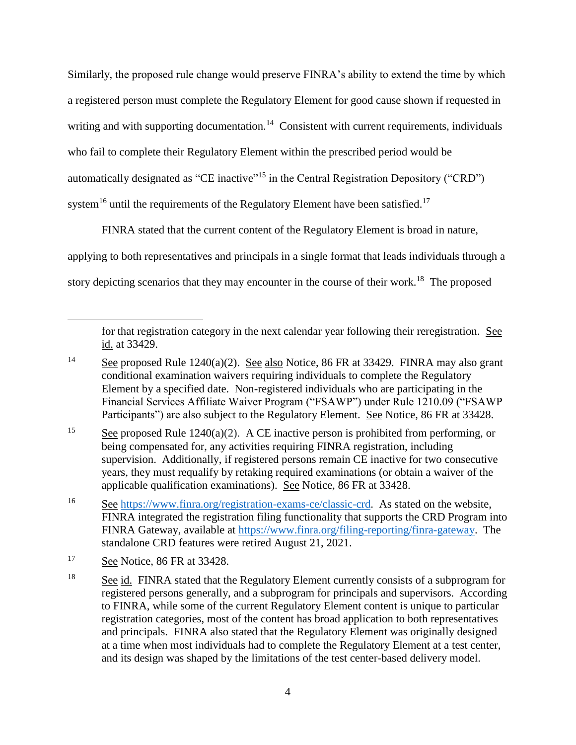Similarly, the proposed rule change would preserve FINRA's ability to extend the time by which a registered person must complete the Regulatory Element for good cause shown if requested in writing and with supporting documentation.<sup>14</sup> Consistent with current requirements, individuals who fail to complete their Regulatory Element within the prescribed period would be automatically designated as "CE inactive"<sup>15</sup> in the Central Registration Depository ("CRD") system<sup>16</sup> until the requirements of the Regulatory Element have been satisfied.<sup>17</sup>

FINRA stated that the current content of the Regulatory Element is broad in nature, applying to both representatives and principals in a single format that leads individuals through a story depicting scenarios that they may encounter in the course of their work.<sup>18</sup> The proposed

for that registration category in the next calendar year following their reregistration. See id. at 33429.

<sup>&</sup>lt;sup>14</sup> See proposed Rule 1240(a)(2). See also Notice, 86 FR at 33429. FINRA may also grant conditional examination waivers requiring individuals to complete the Regulatory Element by a specified date. Non-registered individuals who are participating in the Financial Services Affiliate Waiver Program ("FSAWP") under Rule 1210.09 ("FSAWP Participants") are also subject to the Regulatory Element. See Notice, 86 FR at 33428.

<sup>&</sup>lt;sup>15</sup> See proposed Rule 1240(a)(2). A CE inactive person is prohibited from performing, or being compensated for, any activities requiring FINRA registration, including supervision. Additionally, if registered persons remain CE inactive for two consecutive years, they must requalify by retaking required examinations (or obtain a waiver of the applicable qualification examinations). See Notice, 86 FR at 33428.

<sup>16</sup> See [https://www.finra.org/registration-exams-ce/classic-crd.](https://www.finra.org/registration-exams-ce/classic-crd) As stated on the website, FINRA integrated the registration filing functionality that supports the CRD Program into FINRA Gateway, available at [https://www.finra.org/filing-reporting/finra-gateway.](https://www.finra.org/filing-reporting/finra-gateway) The standalone CRD features were retired August 21, 2021.

<sup>17</sup> See Notice, 86 FR at 33428.

<sup>&</sup>lt;sup>18</sup> See id. FINRA stated that the Regulatory Element currently consists of a subprogram for registered persons generally, and a subprogram for principals and supervisors. According to FINRA, while some of the current Regulatory Element content is unique to particular registration categories, most of the content has broad application to both representatives and principals. FINRA also stated that the Regulatory Element was originally designed at a time when most individuals had to complete the Regulatory Element at a test center, and its design was shaped by the limitations of the test center-based delivery model.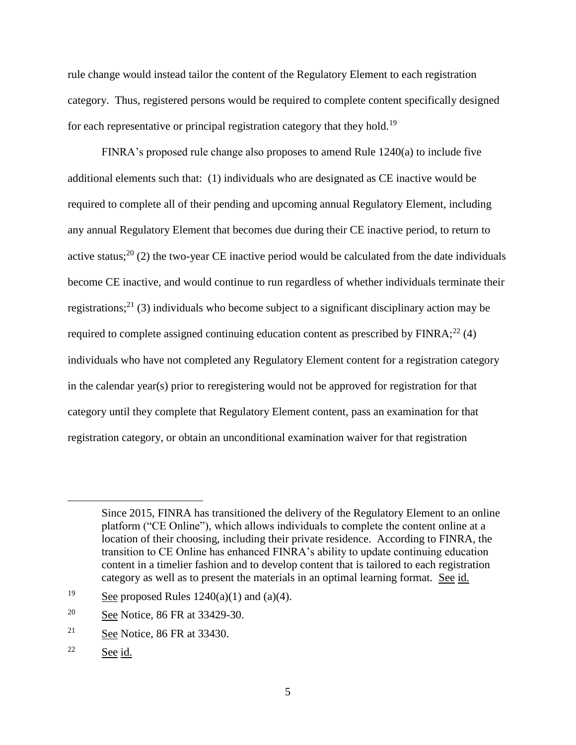rule change would instead tailor the content of the Regulatory Element to each registration category. Thus, registered persons would be required to complete content specifically designed for each representative or principal registration category that they hold.<sup>19</sup>

FINRA's proposed rule change also proposes to amend Rule 1240(a) to include five additional elements such that: (1) individuals who are designated as CE inactive would be required to complete all of their pending and upcoming annual Regulatory Element, including any annual Regulatory Element that becomes due during their CE inactive period, to return to active status;<sup>20</sup> (2) the two-year CE inactive period would be calculated from the date individuals become CE inactive, and would continue to run regardless of whether individuals terminate their registrations;<sup>21</sup> (3) individuals who become subject to a significant disciplinary action may be required to complete assigned continuing education content as prescribed by  $FINRA$ ;<sup>22</sup> (4) individuals who have not completed any Regulatory Element content for a registration category in the calendar year(s) prior to reregistering would not be approved for registration for that category until they complete that Regulatory Element content, pass an examination for that registration category, or obtain an unconditional examination waiver for that registration

Since 2015, FINRA has transitioned the delivery of the Regulatory Element to an online platform ("CE Online"), which allows individuals to complete the content online at a location of their choosing, including their private residence. According to FINRA, the transition to CE Online has enhanced FINRA's ability to update continuing education content in a timelier fashion and to develop content that is tailored to each registration category as well as to present the materials in an optimal learning format. See id.

<sup>&</sup>lt;sup>19</sup> See proposed Rules  $1240(a)(1)$  and  $(a)(4)$ .

<sup>20</sup> See Notice, 86 FR at 33429-30.

<sup>&</sup>lt;sup>21</sup> See Notice, 86 FR at 33430.

<sup>22</sup> See id.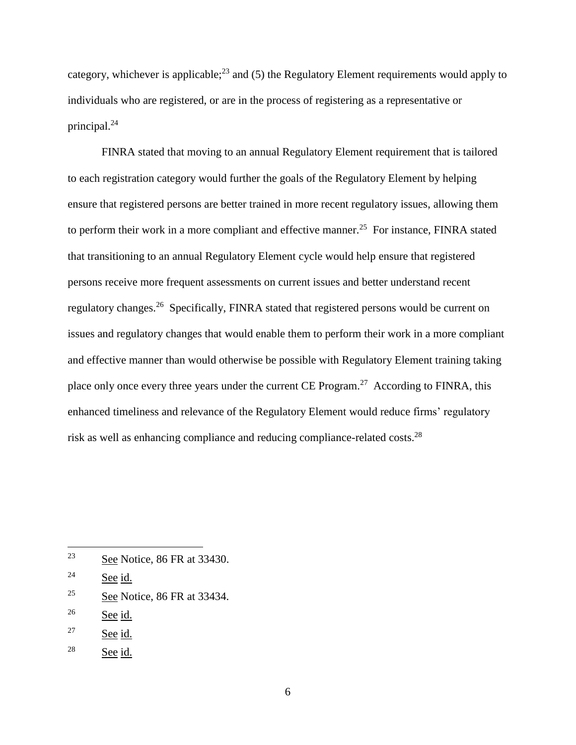category, whichever is applicable;<sup>23</sup> and (5) the Regulatory Element requirements would apply to individuals who are registered, or are in the process of registering as a representative or principal.<sup>24</sup>

FINRA stated that moving to an annual Regulatory Element requirement that is tailored to each registration category would further the goals of the Regulatory Element by helping ensure that registered persons are better trained in more recent regulatory issues, allowing them to perform their work in a more compliant and effective manner.<sup>25</sup> For instance, FINRA stated that transitioning to an annual Regulatory Element cycle would help ensure that registered persons receive more frequent assessments on current issues and better understand recent regulatory changes.<sup>26</sup> Specifically, FINRA stated that registered persons would be current on issues and regulatory changes that would enable them to perform their work in a more compliant and effective manner than would otherwise be possible with Regulatory Element training taking place only once every three years under the current CE Program.<sup>27</sup> According to FINRA, this enhanced timeliness and relevance of the Regulatory Element would reduce firms' regulatory risk as well as enhancing compliance and reducing compliance-related costs.<sup>28</sup>

 $\overline{a}$ 

 $28$  See id.

<sup>23</sup> See Notice, 86 FR at 33430.

 $24$  See id.

<sup>&</sup>lt;sup>25</sup> See Notice, 86 FR at 33434.

 $26$  See id.

<sup>27</sup> See id.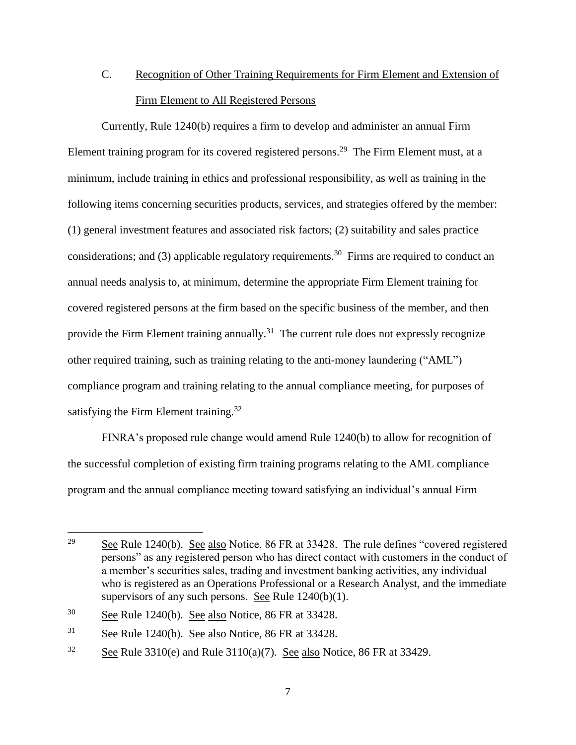# C. Recognition of Other Training Requirements for Firm Element and Extension of Firm Element to All Registered Persons

Currently, Rule 1240(b) requires a firm to develop and administer an annual Firm Element training program for its covered registered persons.<sup>29</sup> The Firm Element must, at a minimum, include training in ethics and professional responsibility, as well as training in the following items concerning securities products, services, and strategies offered by the member: (1) general investment features and associated risk factors; (2) suitability and sales practice considerations; and (3) applicable regulatory requirements.<sup>30</sup> Firms are required to conduct an annual needs analysis to, at minimum, determine the appropriate Firm Element training for covered registered persons at the firm based on the specific business of the member, and then provide the Firm Element training annually.<sup>31</sup> The current rule does not expressly recognize other required training, such as training relating to the anti-money laundering ("AML") compliance program and training relating to the annual compliance meeting, for purposes of satisfying the Firm Element training.<sup>32</sup>

FINRA's proposed rule change would amend Rule 1240(b) to allow for recognition of the successful completion of existing firm training programs relating to the AML compliance program and the annual compliance meeting toward satisfying an individual's annual Firm

<sup>&</sup>lt;sup>29</sup> See Rule 1240(b). See also Notice,  $86$  FR at 33428. The rule defines "covered registered" persons" as any registered person who has direct contact with customers in the conduct of a member's securities sales, trading and investment banking activities, any individual who is registered as an Operations Professional or a Research Analyst, and the immediate supervisors of any such persons. See Rule 1240(b)(1).

<sup>30</sup> See Rule 1240(b). See also Notice, 86 FR at 33428.

 $31$  See Rule 1240(b). See also Notice, 86 FR at 33428.

<sup>&</sup>lt;sup>32</sup> See Rule 3310(e) and Rule 3110(a)(7). See also Notice, 86 FR at 33429.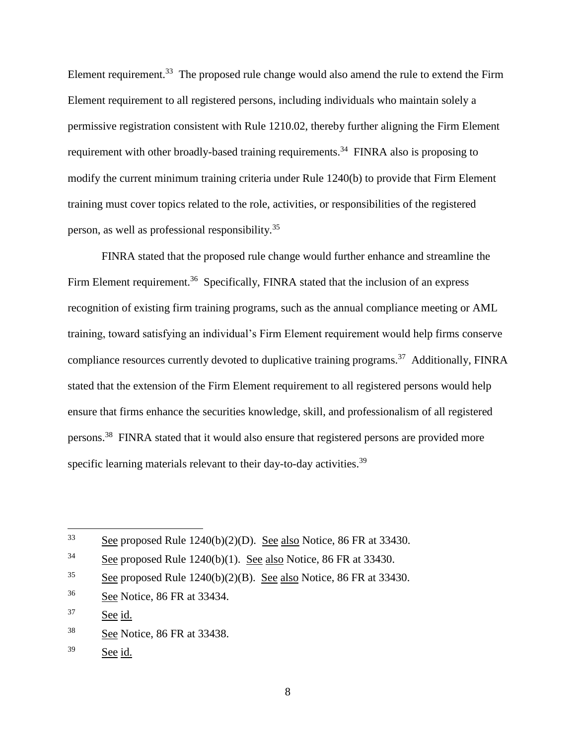Element requirement.<sup>33</sup> The proposed rule change would also amend the rule to extend the Firm Element requirement to all registered persons, including individuals who maintain solely a permissive registration consistent with Rule 1210.02, thereby further aligning the Firm Element requirement with other broadly-based training requirements.<sup>34</sup> FINRA also is proposing to modify the current minimum training criteria under Rule 1240(b) to provide that Firm Element training must cover topics related to the role, activities, or responsibilities of the registered person, as well as professional responsibility.<sup>35</sup>

FINRA stated that the proposed rule change would further enhance and streamline the Firm Element requirement.<sup>36</sup> Specifically, FINRA stated that the inclusion of an express recognition of existing firm training programs, such as the annual compliance meeting or AML training, toward satisfying an individual's Firm Element requirement would help firms conserve compliance resources currently devoted to duplicative training programs.<sup>37</sup> Additionally, FINRA stated that the extension of the Firm Element requirement to all registered persons would help ensure that firms enhance the securities knowledge, skill, and professionalism of all registered persons.<sup>38</sup> FINRA stated that it would also ensure that registered persons are provided more specific learning materials relevant to their day-to-day activities.<sup>39</sup>

 $33$ See proposed Rule  $1240(b)(2)(D)$ . See also Notice, 86 FR at 33430.

<sup>&</sup>lt;sup>34</sup> See proposed Rule 1240(b)(1). See also Notice, 86 FR at 33430.

<sup>&</sup>lt;sup>35</sup> See proposed Rule 1240(b)(2)(B). See also Notice, 86 FR at 33430.

<sup>36</sup> See Notice, 86 FR at 33434.

<sup>37</sup> See id.

<sup>38</sup> See Notice, 86 FR at 33438.

<sup>39</sup> See id.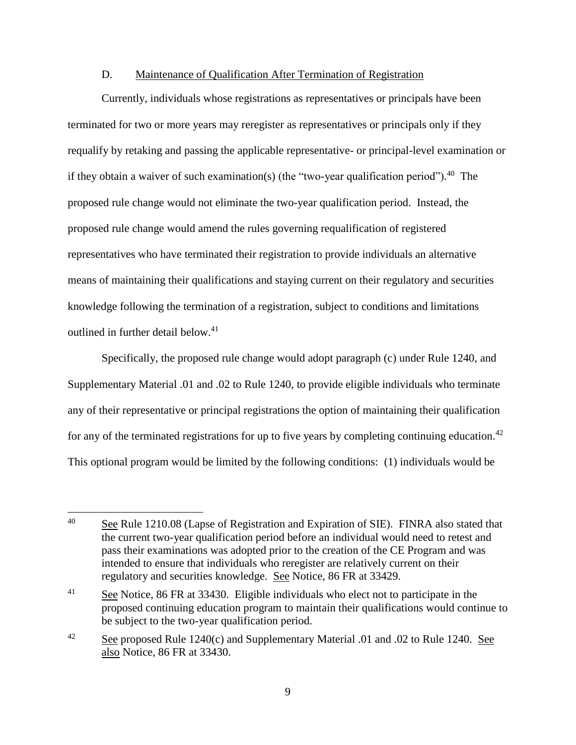#### D. Maintenance of Qualification After Termination of Registration

Currently, individuals whose registrations as representatives or principals have been terminated for two or more years may reregister as representatives or principals only if they requalify by retaking and passing the applicable representative- or principal-level examination or if they obtain a waiver of such examination(s) (the "two-year qualification period").<sup>40</sup> The proposed rule change would not eliminate the two-year qualification period. Instead, the proposed rule change would amend the rules governing requalification of registered representatives who have terminated their registration to provide individuals an alternative means of maintaining their qualifications and staying current on their regulatory and securities knowledge following the termination of a registration, subject to conditions and limitations outlined in further detail below.<sup>41</sup>

Specifically, the proposed rule change would adopt paragraph (c) under Rule 1240, and Supplementary Material .01 and .02 to Rule 1240, to provide eligible individuals who terminate any of their representative or principal registrations the option of maintaining their qualification for any of the terminated registrations for up to five years by completing continuing education.<sup>42</sup> This optional program would be limited by the following conditions: (1) individuals would be

<sup>40</sup> See Rule 1210.08 (Lapse of Registration and Expiration of SIE). FINRA also stated that the current two-year qualification period before an individual would need to retest and pass their examinations was adopted prior to the creation of the CE Program and was intended to ensure that individuals who reregister are relatively current on their regulatory and securities knowledge. See Notice, 86 FR at 33429.

<sup>&</sup>lt;sup>41</sup> See Notice, 86 FR at 33430. Eligible individuals who elect not to participate in the proposed continuing education program to maintain their qualifications would continue to be subject to the two-year qualification period.

<sup>&</sup>lt;sup>42</sup> See proposed Rule 1240(c) and Supplementary Material .01 and .02 to Rule 1240. See also Notice, 86 FR at 33430.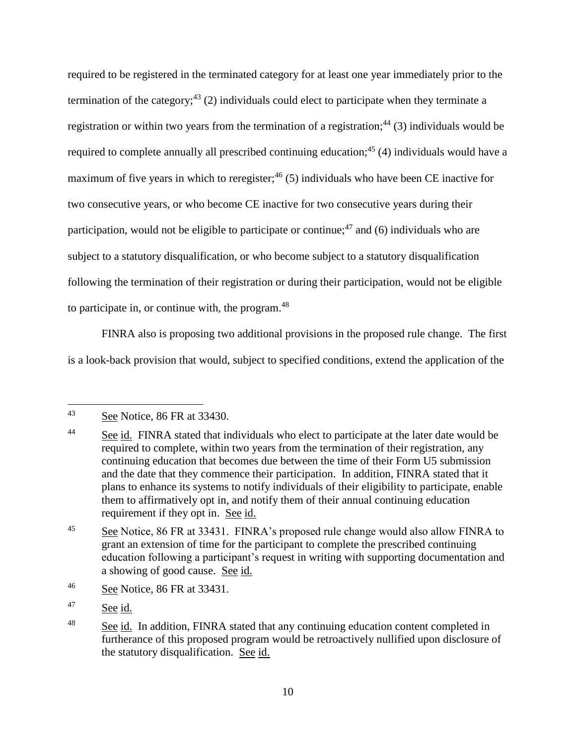required to be registered in the terminated category for at least one year immediately prior to the termination of the category;<sup>43</sup> (2) individuals could elect to participate when they terminate a registration or within two years from the termination of a registration;<sup>44</sup> (3) individuals would be required to complete annually all prescribed continuing education;<sup>45</sup> (4) individuals would have a maximum of five years in which to reregister;  $46$  (5) individuals who have been CE inactive for two consecutive years, or who become CE inactive for two consecutive years during their participation, would not be eligible to participate or continue;<sup>47</sup> and (6) individuals who are subject to a statutory disqualification, or who become subject to a statutory disqualification following the termination of their registration or during their participation, would not be eligible to participate in, or continue with, the program. $48$ 

FINRA also is proposing two additional provisions in the proposed rule change. The first is a look-back provision that would, subject to specified conditions, extend the application of the

<sup>47</sup> See id.

 $43$ See Notice, 86 FR at 33430.

<sup>&</sup>lt;sup>44</sup> See id. FINRA stated that individuals who elect to participate at the later date would be required to complete, within two years from the termination of their registration, any continuing education that becomes due between the time of their Form U5 submission and the date that they commence their participation. In addition, FINRA stated that it plans to enhance its systems to notify individuals of their eligibility to participate, enable them to affirmatively opt in, and notify them of their annual continuing education requirement if they opt in. See id.

<sup>&</sup>lt;sup>45</sup> See Notice, 86 FR at 33431. FINRA's proposed rule change would also allow FINRA to grant an extension of time for the participant to complete the prescribed continuing education following a participant's request in writing with supporting documentation and a showing of good cause. See id.

<sup>46</sup> See Notice, 86 FR at 33431.

<sup>&</sup>lt;sup>48</sup> See id. In addition, FINRA stated that any continuing education content completed in furtherance of this proposed program would be retroactively nullified upon disclosure of the statutory disqualification. See id.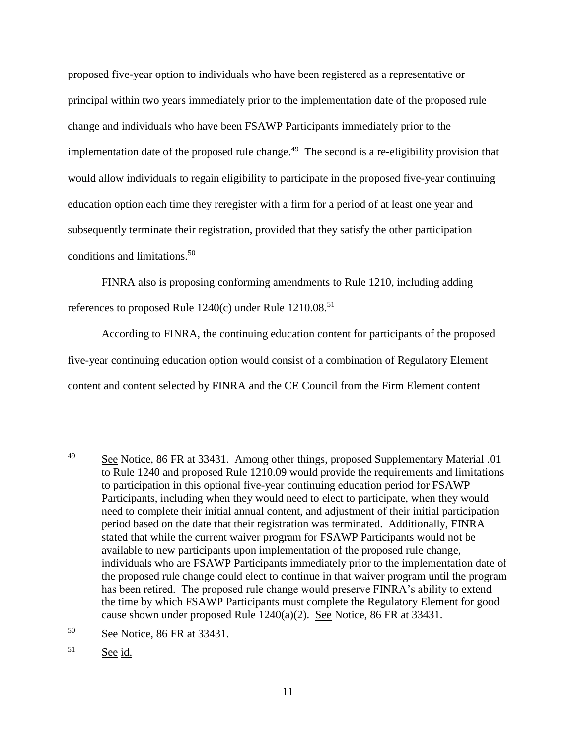proposed five-year option to individuals who have been registered as a representative or principal within two years immediately prior to the implementation date of the proposed rule change and individuals who have been FSAWP Participants immediately prior to the implementation date of the proposed rule change.<sup>49</sup> The second is a re-eligibility provision that would allow individuals to regain eligibility to participate in the proposed five-year continuing education option each time they reregister with a firm for a period of at least one year and subsequently terminate their registration, provided that they satisfy the other participation conditions and limitations.<sup>50</sup>

FINRA also is proposing conforming amendments to Rule 1210, including adding references to proposed Rule  $1240(c)$  under Rule  $1210.08^{51}$ 

According to FINRA, the continuing education content for participants of the proposed five-year continuing education option would consist of a combination of Regulatory Element content and content selected by FINRA and the CE Council from the Firm Element content

<sup>49</sup> <sup>49</sup> See Notice, 86 FR at 33431. Among other things, proposed Supplementary Material .01 to Rule 1240 and proposed Rule 1210.09 would provide the requirements and limitations to participation in this optional five-year continuing education period for FSAWP Participants, including when they would need to elect to participate, when they would need to complete their initial annual content, and adjustment of their initial participation period based on the date that their registration was terminated. Additionally, FINRA stated that while the current waiver program for FSAWP Participants would not be available to new participants upon implementation of the proposed rule change, individuals who are FSAWP Participants immediately prior to the implementation date of the proposed rule change could elect to continue in that waiver program until the program has been retired. The proposed rule change would preserve FINRA's ability to extend the time by which FSAWP Participants must complete the Regulatory Element for good cause shown under proposed Rule 1240(a)(2). See Notice, 86 FR at 33431.

<sup>50</sup> See Notice, 86 FR at 33431.

<sup>51</sup> See id.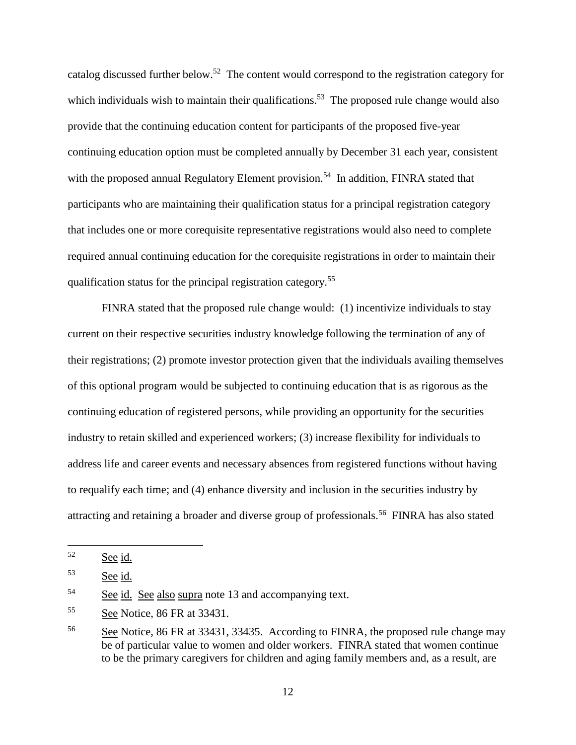catalog discussed further below.<sup>52</sup> The content would correspond to the registration category for which individuals wish to maintain their qualifications.<sup>53</sup> The proposed rule change would also provide that the continuing education content for participants of the proposed five-year continuing education option must be completed annually by December 31 each year, consistent with the proposed annual Regulatory Element provision.<sup>54</sup> In addition, FINRA stated that participants who are maintaining their qualification status for a principal registration category that includes one or more corequisite representative registrations would also need to complete required annual continuing education for the corequisite registrations in order to maintain their qualification status for the principal registration category.<sup>55</sup>

FINRA stated that the proposed rule change would: (1) incentivize individuals to stay current on their respective securities industry knowledge following the termination of any of their registrations; (2) promote investor protection given that the individuals availing themselves of this optional program would be subjected to continuing education that is as rigorous as the continuing education of registered persons, while providing an opportunity for the securities industry to retain skilled and experienced workers; (3) increase flexibility for individuals to address life and career events and necessary absences from registered functions without having to requalify each time; and (4) enhance diversity and inclusion in the securities industry by attracting and retaining a broader and diverse group of professionals.<sup>56</sup> FINRA has also stated

<sup>52</sup> See id.

<sup>53</sup> See id.

<sup>54</sup> See id. See also supra note [13](#page-2-0) and accompanying text.

<sup>&</sup>lt;sup>55</sup> See Notice, 86 FR at 33431.

<sup>56</sup> See Notice, 86 FR at 33431, 33435. According to FINRA, the proposed rule change may be of particular value to women and older workers. FINRA stated that women continue to be the primary caregivers for children and aging family members and, as a result, are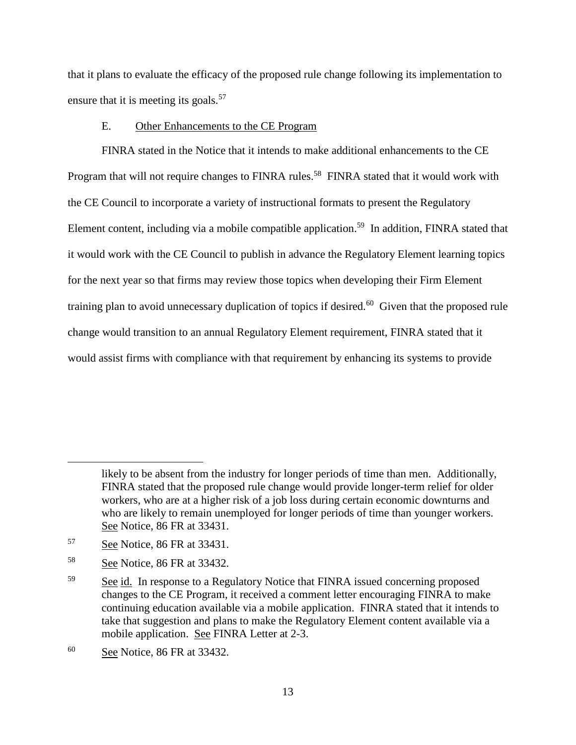that it plans to evaluate the efficacy of the proposed rule change following its implementation to ensure that it is meeting its goals.<sup>57</sup>

### E. Other Enhancements to the CE Program

FINRA stated in the Notice that it intends to make additional enhancements to the CE Program that will not require changes to FINRA rules.<sup>58</sup> FINRA stated that it would work with the CE Council to incorporate a variety of instructional formats to present the Regulatory Element content, including via a mobile compatible application.<sup>59</sup> In addition, FINRA stated that it would work with the CE Council to publish in advance the Regulatory Element learning topics for the next year so that firms may review those topics when developing their Firm Element training plan to avoid unnecessary duplication of topics if desired.<sup>60</sup> Given that the proposed rule change would transition to an annual Regulatory Element requirement, FINRA stated that it would assist firms with compliance with that requirement by enhancing its systems to provide

likely to be absent from the industry for longer periods of time than men. Additionally, FINRA stated that the proposed rule change would provide longer-term relief for older workers, who are at a higher risk of a job loss during certain economic downturns and who are likely to remain unemployed for longer periods of time than younger workers. See Notice, 86 FR at 33431.

<sup>57</sup> See Notice, 86 FR at 33431.

<sup>58</sup> See Notice, 86 FR at 33432.

<sup>59</sup> See id. In response to a Regulatory Notice that FINRA issued concerning proposed changes to the CE Program, it received a comment letter encouraging FINRA to make continuing education available via a mobile application. FINRA stated that it intends to take that suggestion and plans to make the Regulatory Element content available via a mobile application. See FINRA Letter at 2-3.

<sup>60</sup> See Notice, 86 FR at 33432.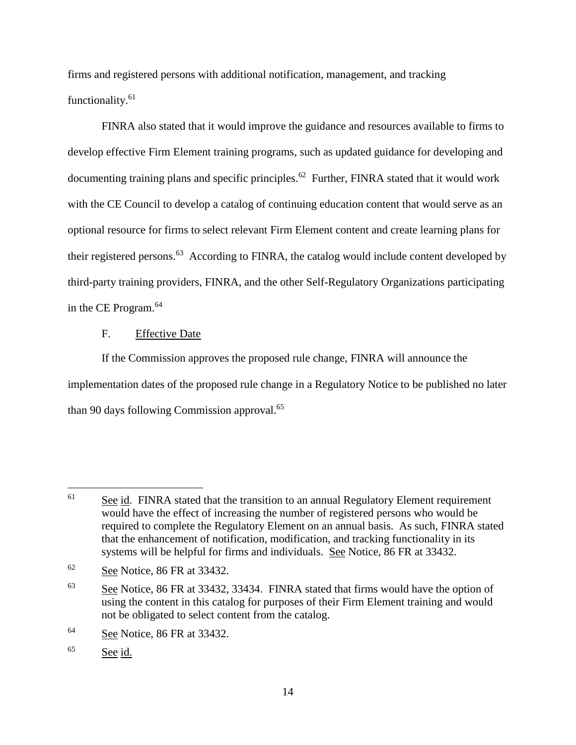firms and registered persons with additional notification, management, and tracking functionality.<sup>61</sup>

FINRA also stated that it would improve the guidance and resources available to firms to develop effective Firm Element training programs, such as updated guidance for developing and documenting training plans and specific principles.<sup>62</sup> Further, FINRA stated that it would work with the CE Council to develop a catalog of continuing education content that would serve as an optional resource for firms to select relevant Firm Element content and create learning plans for their registered persons.<sup>63</sup> According to FINRA, the catalog would include content developed by third-party training providers, FINRA, and the other Self-Regulatory Organizations participating in the CE Program.<sup>64</sup>

#### F. Effective Date

If the Commission approves the proposed rule change, FINRA will announce the implementation dates of the proposed rule change in a Regulatory Notice to be published no later than 90 days following Commission approval.<sup>65</sup>

 $61$  See id. FINRA stated that the transition to an annual Regulatory Element requirement would have the effect of increasing the number of registered persons who would be required to complete the Regulatory Element on an annual basis. As such, FINRA stated that the enhancement of notification, modification, and tracking functionality in its systems will be helpful for firms and individuals. See Notice, 86 FR at 33432.

 $62$  See Notice, 86 FR at 33432.

<sup>63</sup> See Notice, 86 FR at 33432, 33434. FINRA stated that firms would have the option of using the content in this catalog for purposes of their Firm Element training and would not be obligated to select content from the catalog.

<sup>64</sup> See Notice, 86 FR at 33432.

<sup>65</sup> See id.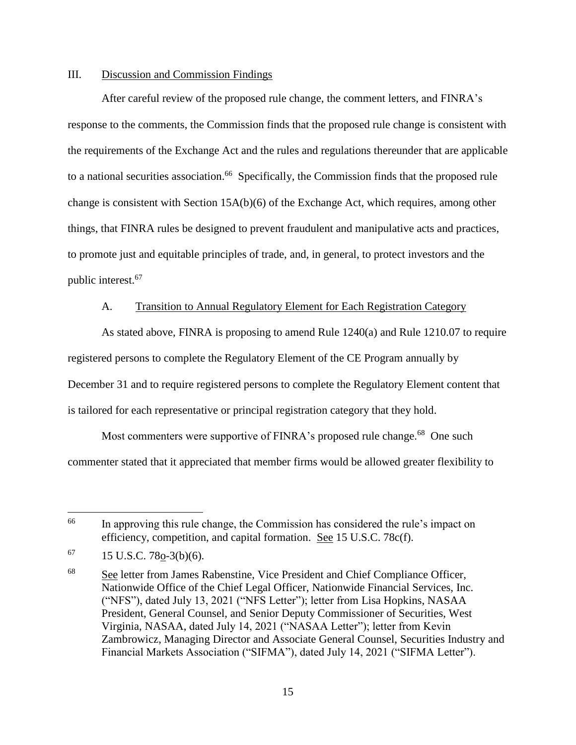### III. Discussion and Commission Findings

After careful review of the proposed rule change, the comment letters, and FINRA's response to the comments, the Commission finds that the proposed rule change is consistent with the requirements of the Exchange Act and the rules and regulations thereunder that are applicable to a national securities association.<sup>66</sup> Specifically, the Commission finds that the proposed rule change is consistent with Section 15A(b)(6) of the Exchange Act, which requires, among other things, that FINRA rules be designed to prevent fraudulent and manipulative acts and practices, to promote just and equitable principles of trade, and, in general, to protect investors and the public interest. 67

#### A. Transition to Annual Regulatory Element for Each Registration Category

As stated above, FINRA is proposing to amend Rule 1240(a) and Rule 1210.07 to require registered persons to complete the Regulatory Element of the CE Program annually by December 31 and to require registered persons to complete the Regulatory Element content that is tailored for each representative or principal registration category that they hold.

Most commenters were supportive of FINRA's proposed rule change.<sup>68</sup> One such commenter stated that it appreciated that member firms would be allowed greater flexibility to

<sup>&</sup>lt;sup>66</sup> In approving this rule change, the Commission has considered the rule's impact on efficiency, competition, and capital formation. See 15 U.S.C. 78c(f).

 $67$  15 U.S.C. 78o-3(b)(6).

<sup>68</sup> See letter from James Rabenstine, Vice President and Chief Compliance Officer, Nationwide Office of the Chief Legal Officer, Nationwide Financial Services, Inc. ("NFS"), dated July 13, 2021 ("NFS Letter"); letter from Lisa Hopkins, NASAA President, General Counsel, and Senior Deputy Commissioner of Securities, West Virginia, NASAA, dated July 14, 2021 ("NASAA Letter"); letter from Kevin Zambrowicz, Managing Director and Associate General Counsel, Securities Industry and Financial Markets Association ("SIFMA"), dated July 14, 2021 ("SIFMA Letter").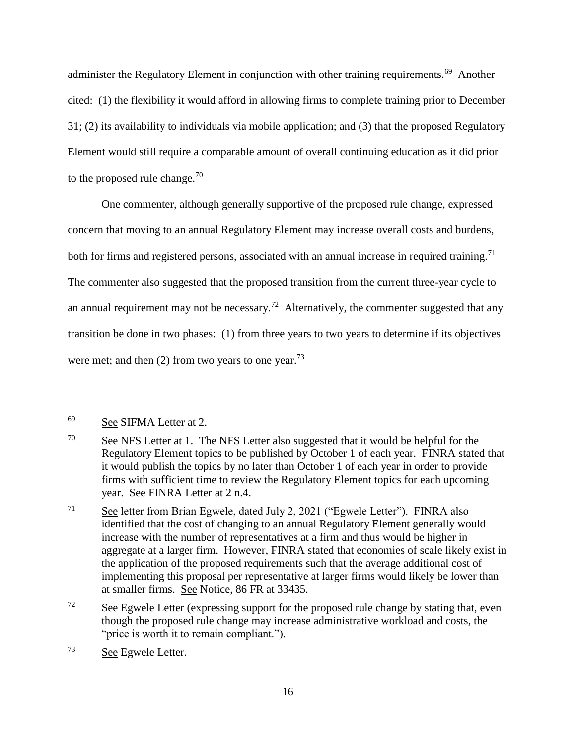administer the Regulatory Element in conjunction with other training requirements.<sup>69</sup> Another cited: (1) the flexibility it would afford in allowing firms to complete training prior to December 31; (2) its availability to individuals via mobile application; and (3) that the proposed Regulatory Element would still require a comparable amount of overall continuing education as it did prior to the proposed rule change.<sup>70</sup>

One commenter, although generally supportive of the proposed rule change, expressed concern that moving to an annual Regulatory Element may increase overall costs and burdens, both for firms and registered persons, associated with an annual increase in required training.<sup>71</sup> The commenter also suggested that the proposed transition from the current three-year cycle to an annual requirement may not be necessary.<sup>72</sup> Alternatively, the commenter suggested that any transition be done in two phases: (1) from three years to two years to determine if its objectives were met; and then  $(2)$  from two years to one year.<sup>73</sup>

<sup>69</sup> See SIFMA Letter at 2.

 $70$  See NFS Letter at 1. The NFS Letter also suggested that it would be helpful for the Regulatory Element topics to be published by October 1 of each year. FINRA stated that it would publish the topics by no later than October 1 of each year in order to provide firms with sufficient time to review the Regulatory Element topics for each upcoming year. See FINRA Letter at 2 n.4.

 $71$  See letter from Brian Egwele, dated July 2, 2021 ("Egwele Letter"). FINRA also identified that the cost of changing to an annual Regulatory Element generally would increase with the number of representatives at a firm and thus would be higher in aggregate at a larger firm. However, FINRA stated that economies of scale likely exist in the application of the proposed requirements such that the average additional cost of implementing this proposal per representative at larger firms would likely be lower than at smaller firms. See Notice, 86 FR at 33435.

 $72$  See Egwele Letter (expressing support for the proposed rule change by stating that, even though the proposed rule change may increase administrative workload and costs, the "price is worth it to remain compliant.").

<sup>73</sup> See Egwele Letter.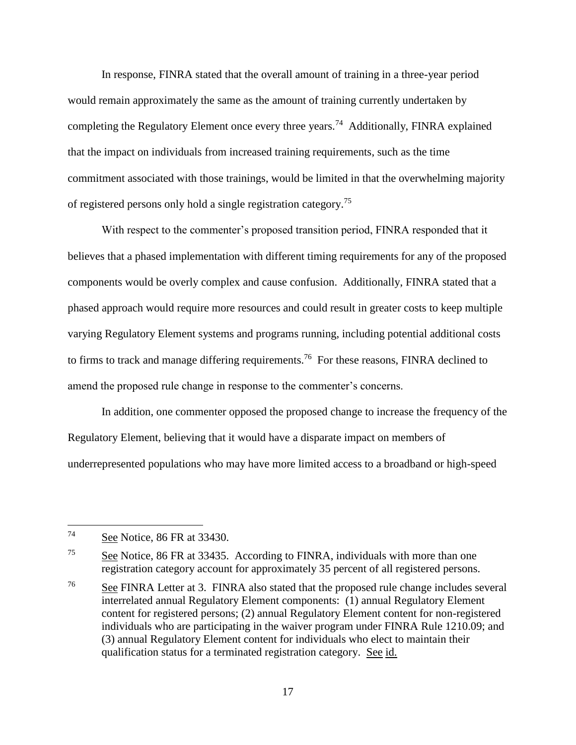In response, FINRA stated that the overall amount of training in a three-year period would remain approximately the same as the amount of training currently undertaken by completing the Regulatory Element once every three years.<sup>74</sup> Additionally, FINRA explained that the impact on individuals from increased training requirements, such as the time commitment associated with those trainings, would be limited in that the overwhelming majority of registered persons only hold a single registration category.<sup>75</sup>

With respect to the commenter's proposed transition period, FINRA responded that it believes that a phased implementation with different timing requirements for any of the proposed components would be overly complex and cause confusion. Additionally, FINRA stated that a phased approach would require more resources and could result in greater costs to keep multiple varying Regulatory Element systems and programs running, including potential additional costs to firms to track and manage differing requirements.<sup>76</sup> For these reasons, FINRA declined to amend the proposed rule change in response to the commenter's concerns.

In addition, one commenter opposed the proposed change to increase the frequency of the Regulatory Element, believing that it would have a disparate impact on members of underrepresented populations who may have more limited access to a broadband or high-speed

<sup>74</sup> See Notice, 86 FR at 33430.

<sup>75</sup> See Notice, 86 FR at 33435. According to FINRA, individuals with more than one registration category account for approximately 35 percent of all registered persons.

<sup>76</sup> See FINRA Letter at 3. FINRA also stated that the proposed rule change includes several interrelated annual Regulatory Element components: (1) annual Regulatory Element content for registered persons; (2) annual Regulatory Element content for non-registered individuals who are participating in the waiver program under FINRA Rule 1210.09; and (3) annual Regulatory Element content for individuals who elect to maintain their qualification status for a terminated registration category. See id.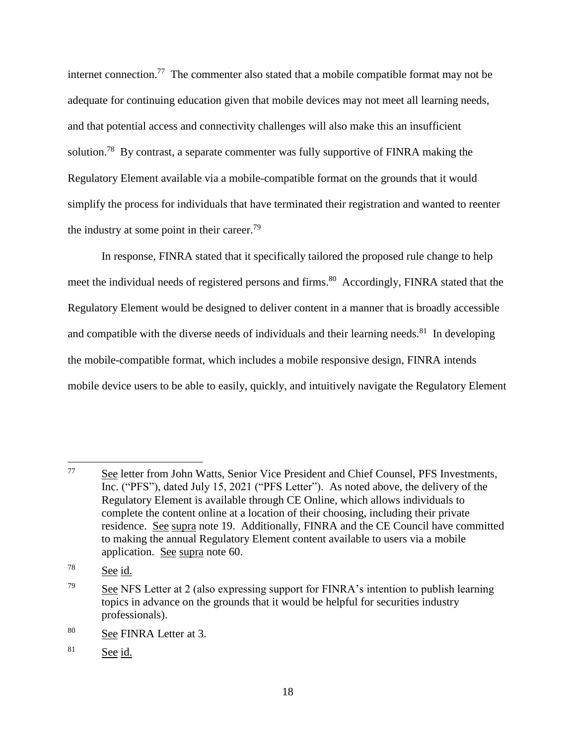internet connection.<sup>77</sup> The commenter also stated that a mobile compatible format may not be adequate for continuing education given that mobile devices may not meet all learning needs, and that potential access and connectivity challenges will also make this an insufficient solution.<sup>78</sup> By contrast, a separate commenter was fully supportive of FINRA making the Regulatory Element available via a mobile-compatible format on the grounds that it would simplify the process for individuals that have terminated their registration and wanted to reenter the industry at some point in their career.<sup>79</sup>

In response, FINRA stated that it specifically tailored the proposed rule change to help meet the individual needs of registered persons and firms.<sup>80</sup> Accordingly, FINRA stated that the Regulatory Element would be designed to deliver content in a manner that is broadly accessible and compatible with the diverse needs of individuals and their learning needs. $81$  In developing the mobile-compatible format, which includes a mobile responsive design, FINRA intends mobile device users to be able to easily, quickly, and intuitively navigate the Regulatory Element

<sup>77</sup> See letter from John Watts, Senior Vice President and Chief Counsel, PFS Investments, Inc. ("PFS"), dated July 15, 2021 ("PFS Letter"). As noted above, the delivery of the Regulatory Element is available through CE Online, which allows individuals to complete the content online at a location of their choosing, including their private residence. See supra note 19. Additionally, FINRA and the CE Council have committed to making the annual Regulatory Element content available to users via a mobile application. See supra note 60.

<sup>78</sup> See id.

<sup>&</sup>lt;sup>79</sup> See NFS Letter at 2 (also expressing support for FINRA's intention to publish learning topics in advance on the grounds that it would be helpful for securities industry professionals).

<sup>80</sup> See FINRA Letter at 3.

<sup>81</sup> See id.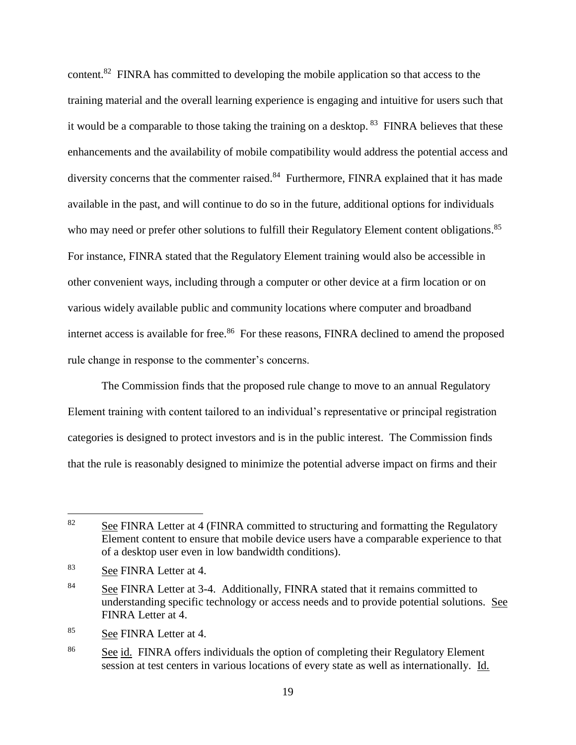content.<sup>82</sup> FINRA has committed to developing the mobile application so that access to the training material and the overall learning experience is engaging and intuitive for users such that it would be a comparable to those taking the training on a desktop. <sup>83</sup> FINRA believes that these enhancements and the availability of mobile compatibility would address the potential access and diversity concerns that the commenter raised.<sup>84</sup> Furthermore, FINRA explained that it has made available in the past, and will continue to do so in the future, additional options for individuals who may need or prefer other solutions to fulfill their Regulatory Element content obligations.<sup>85</sup> For instance, FINRA stated that the Regulatory Element training would also be accessible in other convenient ways, including through a computer or other device at a firm location or on various widely available public and community locations where computer and broadband internet access is available for free.<sup>86</sup> For these reasons, FINRA declined to amend the proposed rule change in response to the commenter's concerns.

The Commission finds that the proposed rule change to move to an annual Regulatory Element training with content tailored to an individual's representative or principal registration categories is designed to protect investors and is in the public interest. The Commission finds that the rule is reasonably designed to minimize the potential adverse impact on firms and their

 $\overline{a}$ 

<sup>85</sup> See FINRA Letter at 4.

 $82$  See FINRA Letter at 4 (FINRA committed to structuring and formatting the Regulatory Element content to ensure that mobile device users have a comparable experience to that of a desktop user even in low bandwidth conditions).

<sup>83</sup> See FINRA Letter at 4.

<sup>&</sup>lt;sup>84</sup> See FINRA Letter at 3-4. Additionally, FINRA stated that it remains committed to understanding specific technology or access needs and to provide potential solutions. See FINRA Letter at 4.

<sup>&</sup>lt;sup>86</sup> See id. FINRA offers individuals the option of completing their Regulatory Element session at test centers in various locations of every state as well as internationally. Id.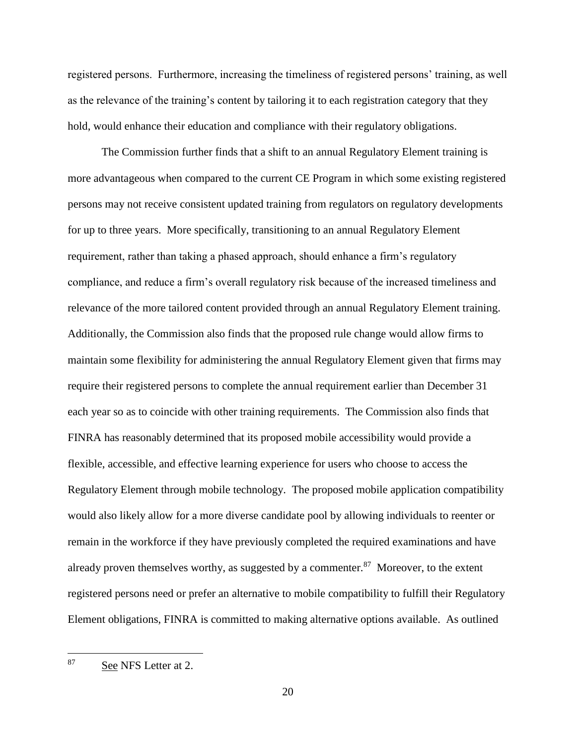registered persons. Furthermore, increasing the timeliness of registered persons' training, as well as the relevance of the training's content by tailoring it to each registration category that they hold, would enhance their education and compliance with their regulatory obligations.

The Commission further finds that a shift to an annual Regulatory Element training is more advantageous when compared to the current CE Program in which some existing registered persons may not receive consistent updated training from regulators on regulatory developments for up to three years. More specifically, transitioning to an annual Regulatory Element requirement, rather than taking a phased approach, should enhance a firm's regulatory compliance, and reduce a firm's overall regulatory risk because of the increased timeliness and relevance of the more tailored content provided through an annual Regulatory Element training. Additionally, the Commission also finds that the proposed rule change would allow firms to maintain some flexibility for administering the annual Regulatory Element given that firms may require their registered persons to complete the annual requirement earlier than December 31 each year so as to coincide with other training requirements. The Commission also finds that FINRA has reasonably determined that its proposed mobile accessibility would provide a flexible, accessible, and effective learning experience for users who choose to access the Regulatory Element through mobile technology. The proposed mobile application compatibility would also likely allow for a more diverse candidate pool by allowing individuals to reenter or remain in the workforce if they have previously completed the required examinations and have already proven themselves worthy, as suggested by a commenter. $87$  Moreover, to the extent registered persons need or prefer an alternative to mobile compatibility to fulfill their Regulatory Element obligations, FINRA is committed to making alternative options available. As outlined

87 See NFS Letter at 2.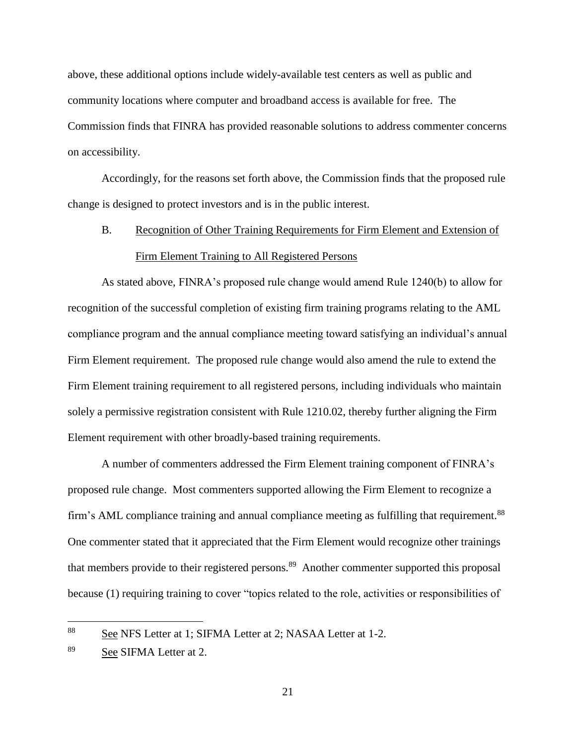above, these additional options include widely-available test centers as well as public and community locations where computer and broadband access is available for free. The Commission finds that FINRA has provided reasonable solutions to address commenter concerns on accessibility.

Accordingly, for the reasons set forth above, the Commission finds that the proposed rule change is designed to protect investors and is in the public interest.

# B. Recognition of Other Training Requirements for Firm Element and Extension of Firm Element Training to All Registered Persons

As stated above, FINRA's proposed rule change would amend Rule 1240(b) to allow for recognition of the successful completion of existing firm training programs relating to the AML compliance program and the annual compliance meeting toward satisfying an individual's annual Firm Element requirement. The proposed rule change would also amend the rule to extend the Firm Element training requirement to all registered persons, including individuals who maintain solely a permissive registration consistent with Rule 1210.02, thereby further aligning the Firm Element requirement with other broadly-based training requirements.

A number of commenters addressed the Firm Element training component of FINRA's proposed rule change. Most commenters supported allowing the Firm Element to recognize a firm's AML compliance training and annual compliance meeting as fulfilling that requirement.<sup>88</sup> One commenter stated that it appreciated that the Firm Element would recognize other trainings that members provide to their registered persons.<sup>89</sup> Another commenter supported this proposal because (1) requiring training to cover "topics related to the role, activities or responsibilities of

<sup>&</sup>lt;sup>88</sup> See NFS Letter at 1; SIFMA Letter at 2; NASAA Letter at 1-2.

<sup>89</sup> See SIFMA Letter at 2.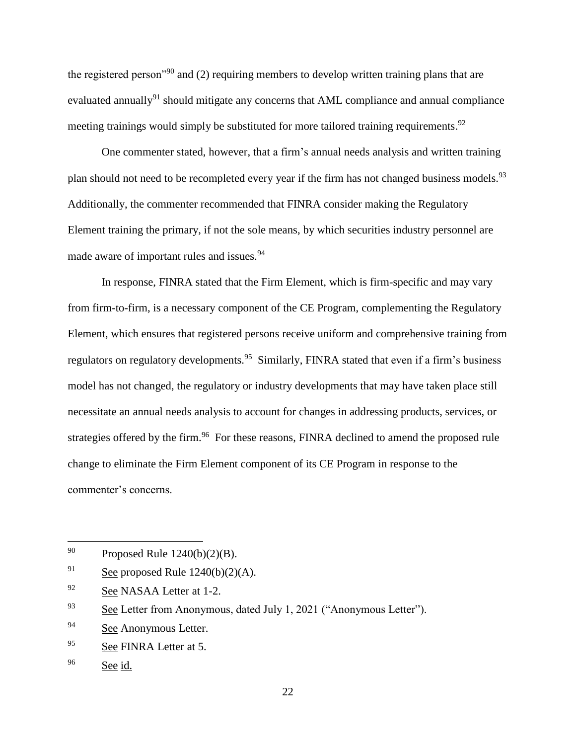the registered person<sup>"90</sup> and (2) requiring members to develop written training plans that are evaluated annually<sup>91</sup> should mitigate any concerns that AML compliance and annual compliance meeting trainings would simply be substituted for more tailored training requirements.<sup>92</sup>

One commenter stated, however, that a firm's annual needs analysis and written training plan should not need to be recompleted every year if the firm has not changed business models.  $93$ Additionally, the commenter recommended that FINRA consider making the Regulatory Element training the primary, if not the sole means, by which securities industry personnel are made aware of important rules and issues.<sup>94</sup>

In response, FINRA stated that the Firm Element, which is firm-specific and may vary from firm-to-firm, is a necessary component of the CE Program, complementing the Regulatory Element, which ensures that registered persons receive uniform and comprehensive training from regulators on regulatory developments.<sup>95</sup> Similarly, FINRA stated that even if a firm's business model has not changed, the regulatory or industry developments that may have taken place still necessitate an annual needs analysis to account for changes in addressing products, services, or strategies offered by the firm.<sup>96</sup> For these reasons, FINRA declined to amend the proposed rule change to eliminate the Firm Element component of its CE Program in response to the commenter's concerns.

<sup>&</sup>lt;sup>90</sup> Proposed Rule  $1240(b)(2)(B)$ .

<sup>&</sup>lt;sup>91</sup> See proposed Rule  $1240(b)(2)(A)$ .

<sup>&</sup>lt;sup>92</sup> See NASAA Letter at 1-2.

<sup>&</sup>lt;sup>93</sup> See Letter from Anonymous, dated July 1, 2021 ("Anonymous Letter").

<sup>94</sup> See Anonymous Letter.

<sup>&</sup>lt;sup>95</sup> See FINRA Letter at 5.

<sup>96</sup> See id.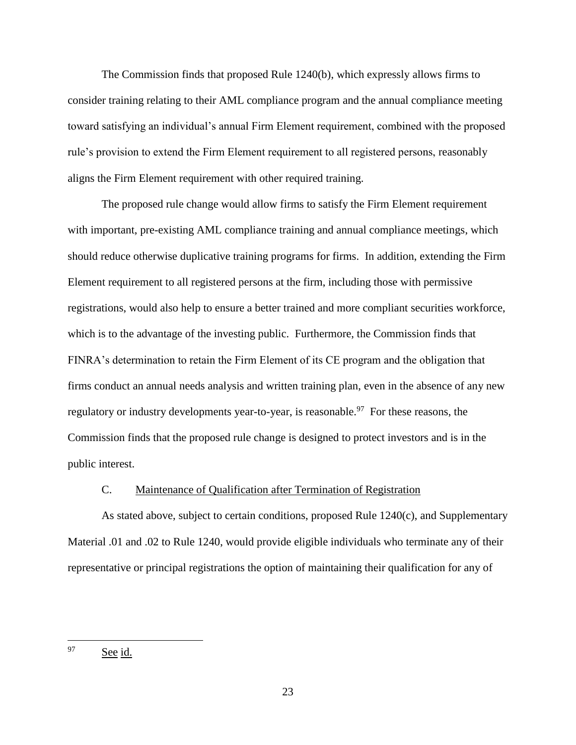The Commission finds that proposed Rule 1240(b), which expressly allows firms to consider training relating to their AML compliance program and the annual compliance meeting toward satisfying an individual's annual Firm Element requirement, combined with the proposed rule's provision to extend the Firm Element requirement to all registered persons, reasonably aligns the Firm Element requirement with other required training.

The proposed rule change would allow firms to satisfy the Firm Element requirement with important, pre-existing AML compliance training and annual compliance meetings, which should reduce otherwise duplicative training programs for firms. In addition, extending the Firm Element requirement to all registered persons at the firm, including those with permissive registrations, would also help to ensure a better trained and more compliant securities workforce, which is to the advantage of the investing public. Furthermore, the Commission finds that FINRA's determination to retain the Firm Element of its CE program and the obligation that firms conduct an annual needs analysis and written training plan, even in the absence of any new regulatory or industry developments year-to-year, is reasonable.<sup>97</sup> For these reasons, the Commission finds that the proposed rule change is designed to protect investors and is in the public interest.

#### C. Maintenance of Qualification after Termination of Registration

As stated above, subject to certain conditions, proposed Rule 1240(c), and Supplementary Material .01 and .02 to Rule 1240, would provide eligible individuals who terminate any of their representative or principal registrations the option of maintaining their qualification for any of

<sup>97</sup> See id.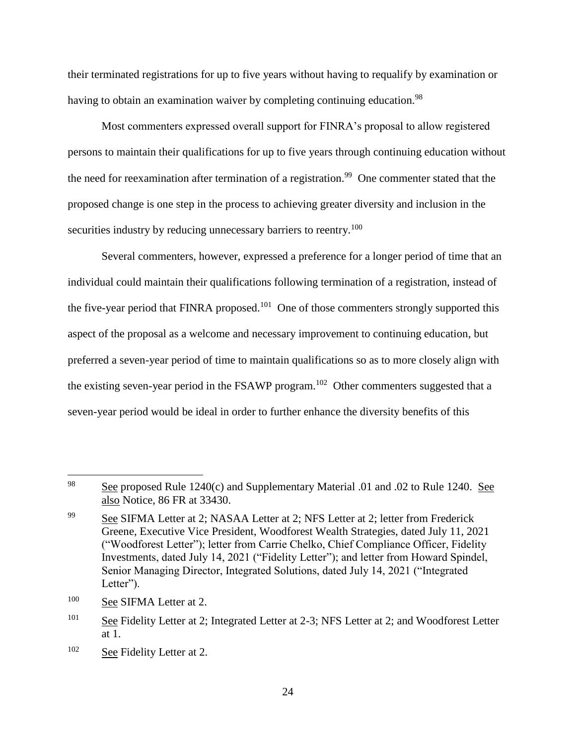their terminated registrations for up to five years without having to requalify by examination or having to obtain an examination waiver by completing continuing education.<sup>98</sup>

Most commenters expressed overall support for FINRA's proposal to allow registered persons to maintain their qualifications for up to five years through continuing education without the need for reexamination after termination of a registration.<sup>99</sup> One commenter stated that the proposed change is one step in the process to achieving greater diversity and inclusion in the securities industry by reducing unnecessary barriers to reentry.<sup>100</sup>

Several commenters, however, expressed a preference for a longer period of time that an individual could maintain their qualifications following termination of a registration, instead of the five-year period that FINRA proposed.<sup>101</sup> One of those commenters strongly supported this aspect of the proposal as a welcome and necessary improvement to continuing education, but preferred a seven-year period of time to maintain qualifications so as to more closely align with the existing seven-year period in the FSAWP program.<sup>102</sup> Other commenters suggested that a seven-year period would be ideal in order to further enhance the diversity benefits of this

<sup>98</sup> See proposed Rule 1240(c) and Supplementary Material .01 and .02 to Rule 1240. See also Notice, 86 FR at 33430.

<sup>&</sup>lt;sup>99</sup> See SIFMA Letter at 2; NASAA Letter at 2; NFS Letter at 2; letter from Frederick Greene, Executive Vice President, Woodforest Wealth Strategies, dated July 11, 2021 ("Woodforest Letter"); letter from Carrie Chelko, Chief Compliance Officer, Fidelity Investments, dated July 14, 2021 ("Fidelity Letter"); and letter from Howard Spindel, Senior Managing Director, Integrated Solutions, dated July 14, 2021 ("Integrated Letter").

<sup>100</sup> See SIFMA Letter at 2.

<sup>&</sup>lt;sup>101</sup> See Fidelity Letter at 2; Integrated Letter at 2-3; NFS Letter at 2; and Woodforest Letter at 1.

<sup>&</sup>lt;sup>102</sup> See Fidelity Letter at 2.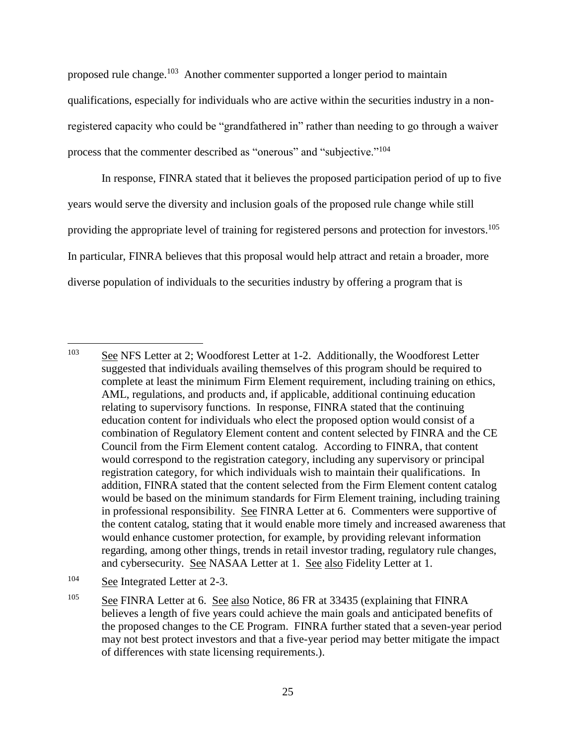proposed rule change.<sup>103</sup> Another commenter supported a longer period to maintain qualifications, especially for individuals who are active within the securities industry in a nonregistered capacity who could be "grandfathered in" rather than needing to go through a waiver process that the commenter described as "onerous" and "subjective."<sup>104</sup>

In response, FINRA stated that it believes the proposed participation period of up to five years would serve the diversity and inclusion goals of the proposed rule change while still providing the appropriate level of training for registered persons and protection for investors.<sup>105</sup> In particular, FINRA believes that this proposal would help attract and retain a broader, more diverse population of individuals to the securities industry by offering a program that is

<sup>103</sup> See NFS Letter at 2; Woodforest Letter at 1-2. Additionally, the Woodforest Letter suggested that individuals availing themselves of this program should be required to complete at least the minimum Firm Element requirement, including training on ethics, AML, regulations, and products and, if applicable, additional continuing education relating to supervisory functions. In response, FINRA stated that the continuing education content for individuals who elect the proposed option would consist of a combination of Regulatory Element content and content selected by FINRA and the CE Council from the Firm Element content catalog. According to FINRA, that content would correspond to the registration category, including any supervisory or principal registration category, for which individuals wish to maintain their qualifications. In addition, FINRA stated that the content selected from the Firm Element content catalog would be based on the minimum standards for Firm Element training, including training in professional responsibility. See FINRA Letter at 6. Commenters were supportive of the content catalog, stating that it would enable more timely and increased awareness that would enhance customer protection, for example, by providing relevant information regarding, among other things, trends in retail investor trading, regulatory rule changes, and cybersecurity. See NASAA Letter at 1. See also Fidelity Letter at 1.

<sup>104</sup> See Integrated Letter at 2-3.

<sup>&</sup>lt;sup>105</sup> See FINRA Letter at 6. See also Notice, 86 FR at 33435 (explaining that FINRA believes a length of five years could achieve the main goals and anticipated benefits of the proposed changes to the CE Program. FINRA further stated that a seven-year period may not best protect investors and that a five-year period may better mitigate the impact of differences with state licensing requirements.).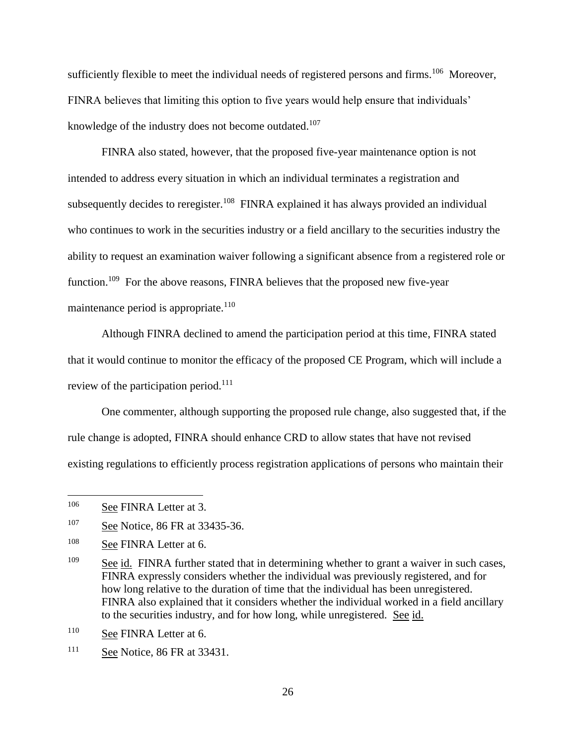sufficiently flexible to meet the individual needs of registered persons and firms.<sup>106</sup> Moreover, FINRA believes that limiting this option to five years would help ensure that individuals' knowledge of the industry does not become outdated.<sup>107</sup>

FINRA also stated, however, that the proposed five-year maintenance option is not intended to address every situation in which an individual terminates a registration and subsequently decides to reregister.<sup>108</sup> FINRA explained it has always provided an individual who continues to work in the securities industry or a field ancillary to the securities industry the ability to request an examination waiver following a significant absence from a registered role or function.<sup>109</sup> For the above reasons, FINRA believes that the proposed new five-year maintenance period is appropriate.<sup>110</sup>

Although FINRA declined to amend the participation period at this time, FINRA stated that it would continue to monitor the efficacy of the proposed CE Program, which will include a review of the participation period.<sup>111</sup>

One commenter, although supporting the proposed rule change, also suggested that, if the rule change is adopted, FINRA should enhance CRD to allow states that have not revised existing regulations to efficiently process registration applications of persons who maintain their

<sup>&</sup>lt;sup>106</sup> See FINRA Letter at 3.

<sup>&</sup>lt;sup>107</sup> See Notice, 86 FR at 33435-36.

<sup>&</sup>lt;sup>108</sup> See FINRA Letter at 6.

<sup>&</sup>lt;sup>109</sup> See id. FINRA further stated that in determining whether to grant a waiver in such cases, FINRA expressly considers whether the individual was previously registered, and for how long relative to the duration of time that the individual has been unregistered. FINRA also explained that it considers whether the individual worked in a field ancillary to the securities industry, and for how long, while unregistered. See id.

<sup>110</sup> See FINRA Letter at 6.

<sup>111</sup> See Notice, 86 FR at 33431.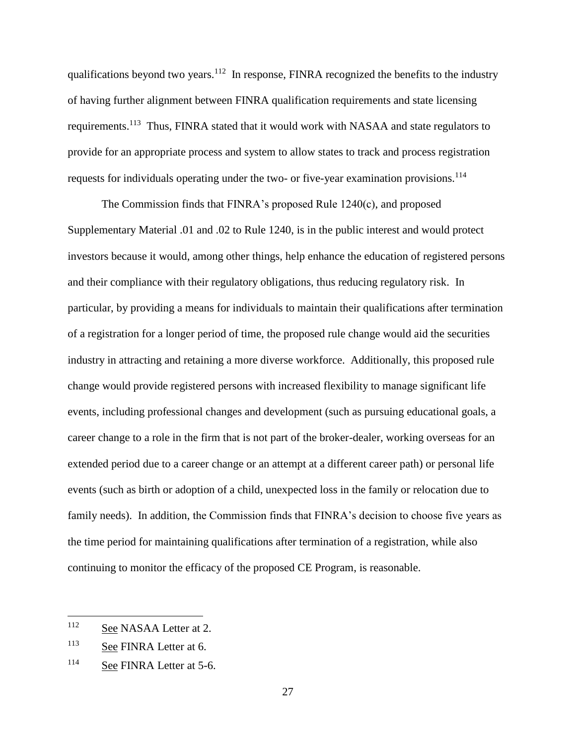qualifications beyond two years.<sup>112</sup> In response, FINRA recognized the benefits to the industry of having further alignment between FINRA qualification requirements and state licensing requirements.<sup>113</sup> Thus, FINRA stated that it would work with NASAA and state regulators to provide for an appropriate process and system to allow states to track and process registration requests for individuals operating under the two- or five-year examination provisions.<sup>114</sup>

The Commission finds that FINRA's proposed Rule 1240(c), and proposed Supplementary Material .01 and .02 to Rule 1240, is in the public interest and would protect investors because it would, among other things, help enhance the education of registered persons and their compliance with their regulatory obligations, thus reducing regulatory risk. In particular, by providing a means for individuals to maintain their qualifications after termination of a registration for a longer period of time, the proposed rule change would aid the securities industry in attracting and retaining a more diverse workforce. Additionally, this proposed rule change would provide registered persons with increased flexibility to manage significant life events, including professional changes and development (such as pursuing educational goals, a career change to a role in the firm that is not part of the broker-dealer, working overseas for an extended period due to a career change or an attempt at a different career path) or personal life events (such as birth or adoption of a child, unexpected loss in the family or relocation due to family needs). In addition, the Commission finds that FINRA's decision to choose five years as the time period for maintaining qualifications after termination of a registration, while also continuing to monitor the efficacy of the proposed CE Program, is reasonable.

<sup>&</sup>lt;sup>112</sup> See NASAA Letter at 2.

<sup>113</sup> See FINRA Letter at 6.

<sup>114</sup> See FINRA Letter at 5-6.